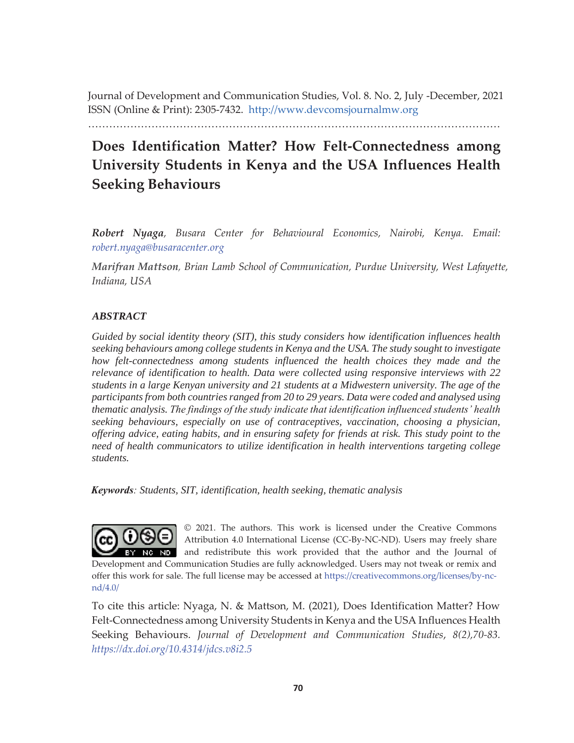Journal of Development and Communication Studies, Vol. 8. No. 2, July -December, 2021 ISSN (Online & Print): 2305-7432. http://www.devcomsjournalmw.org

………………………………………………………………………………………………………

# **Does Identification Matter? How Felt-Connectedness among University Students in Kenya and the USA Influences Health Seeking Behaviours**

*Robert Nyaga, Busara Center for Behavioural Economics, Nairobi, Kenya. Email: robert.nyaga@busaracenter.org* 

*Marifran Mattson, Brian Lamb School of Communication, Purdue University, West Lafayette, Indiana, USA* 

### *ABSTRACT*

*Guided by social identity theory (SIT), this study considers how identification influences health seeking behaviours among college students in Kenya and the USA. The study sought to investigate how felt-connectedness among students influenced the health choices they made and the relevance of identification to health. Data were collected using responsive interviews with 22 students in a large Kenyan university and 21 students at a Midwestern university. The age of the participants from both countries ranged from 20 to 29 years. Data were coded and analysed using thematic analysis. The findings of the study indicate that identification influenced students' health seeking behaviours, especially on use of contraceptives, vaccination, choosing a physician, offering advice, eating habits, and in ensuring safety for friends at risk. This study point to the need of health communicators to utilize identification in health interventions targeting college students.* 

*Keywords: Students, SIT, identification, health seeking, thematic analysis* 



© 2021. The authors. This work is licensed under the Creative Commons Attribution 4.0 International License (CC-By-NC-ND). Users may freely share and redistribute this work provided that the author and the Journal of

Development and Communication Studies are fully acknowledged. Users may not tweak or remix and offer this work for sale. The full license may be accessed at https://creativecommons.org/licenses/by-ncnd/4.0/

To cite this article: Nyaga, N. & Mattson, M. (2021), Does Identification Matter? How Felt-Connectedness among University Students in Kenya and the USA Influences Health Seeking Behaviours. *Journal of Development and Communication Studies*, *8(2),70-83. https://dx.doi.org/10.4314/jdcs.v8i2.5*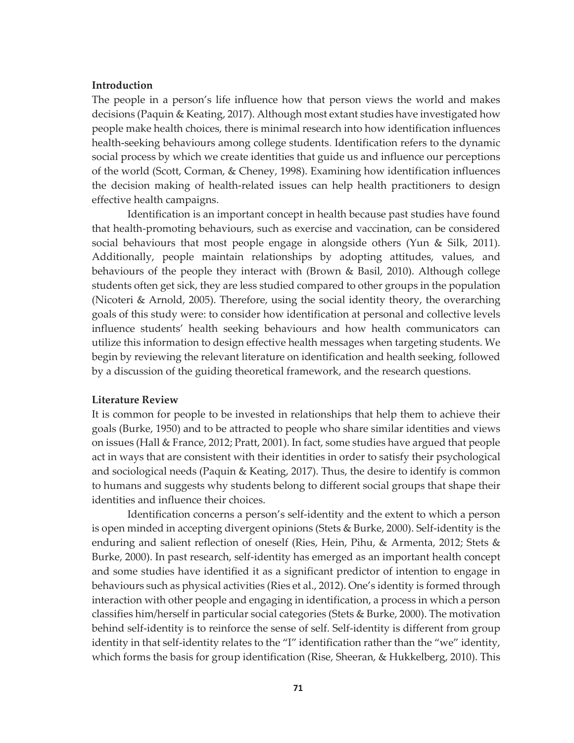#### **Introduction**

The people in a person's life influence how that person views the world and makes decisions (Paquin & Keating, 2017). Although most extant studies have investigated how people make health choices, there is minimal research into how identification influences health-seeking behaviours among college students. Identification refers to the dynamic social process by which we create identities that guide us and influence our perceptions of the world (Scott, Corman, & Cheney, 1998). Examining how identification influences the decision making of health-related issues can help health practitioners to design effective health campaigns.

Identification is an important concept in health because past studies have found that health-promoting behaviours, such as exercise and vaccination, can be considered social behaviours that most people engage in alongside others (Yun & Silk, 2011). Additionally, people maintain relationships by adopting attitudes, values, and behaviours of the people they interact with (Brown & Basil, 2010). Although college students often get sick, they are less studied compared to other groups in the population (Nicoteri & Arnold, 2005). Therefore, using the social identity theory, the overarching goals of this study were: to consider how identification at personal and collective levels influence students' health seeking behaviours and how health communicators can utilize this information to design effective health messages when targeting students. We begin by reviewing the relevant literature on identification and health seeking, followed by a discussion of the guiding theoretical framework, and the research questions.

#### **Literature Review**

It is common for people to be invested in relationships that help them to achieve their goals (Burke, 1950) and to be attracted to people who share similar identities and views on issues (Hall & France, 2012; Pratt, 2001). In fact, some studies have argued that people act in ways that are consistent with their identities in order to satisfy their psychological and sociological needs (Paquin & Keating, 2017). Thus, the desire to identify is common to humans and suggests why students belong to different social groups that shape their identities and influence their choices.

Identification concerns a person's self-identity and the extent to which a person is open minded in accepting divergent opinions (Stets & Burke, 2000). Self-identity is the enduring and salient reflection of oneself (Ries, Hein, Pihu, & Armenta, 2012; Stets & Burke, 2000). In past research, self-identity has emerged as an important health concept and some studies have identified it as a significant predictor of intention to engage in behaviours such as physical activities (Ries et al., 2012). One's identity is formed through interaction with other people and engaging in identification, a process in which a person classifies him/herself in particular social categories (Stets & Burke, 2000). The motivation behind self-identity is to reinforce the sense of self. Self-identity is different from group identity in that self-identity relates to the "I" identification rather than the "we" identity, which forms the basis for group identification (Rise, Sheeran, & Hukkelberg, 2010). This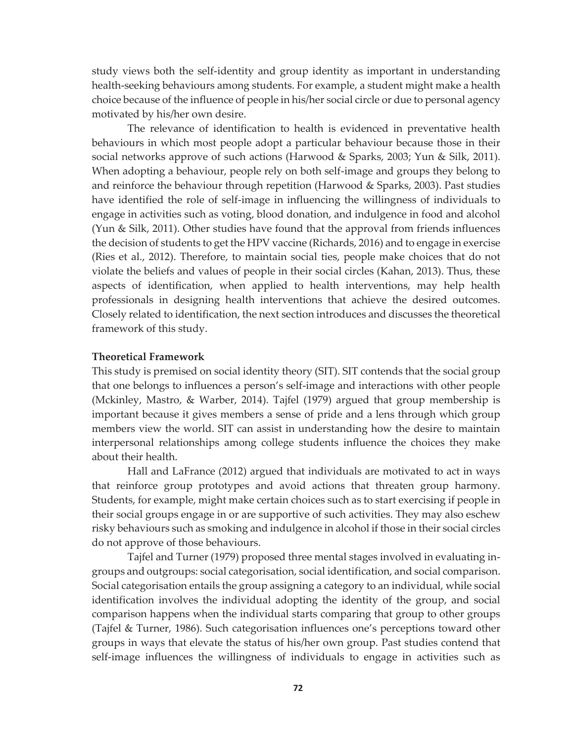study views both the self-identity and group identity as important in understanding health-seeking behaviours among students. For example, a student might make a health choice because of the influence of people in his/her social circle or due to personal agency motivated by his/her own desire.

The relevance of identification to health is evidenced in preventative health behaviours in which most people adopt a particular behaviour because those in their social networks approve of such actions (Harwood & Sparks, 2003; Yun & Silk, 2011). When adopting a behaviour, people rely on both self-image and groups they belong to and reinforce the behaviour through repetition (Harwood & Sparks, 2003). Past studies have identified the role of self-image in influencing the willingness of individuals to engage in activities such as voting, blood donation, and indulgence in food and alcohol (Yun & Silk, 2011). Other studies have found that the approval from friends influences the decision of students to get the HPV vaccine (Richards, 2016) and to engage in exercise (Ries et al., 2012). Therefore, to maintain social ties, people make choices that do not violate the beliefs and values of people in their social circles (Kahan, 2013). Thus, these aspects of identification, when applied to health interventions, may help health professionals in designing health interventions that achieve the desired outcomes. Closely related to identification, the next section introduces and discusses the theoretical framework of this study.

### **Theoretical Framework**

This study is premised on social identity theory (SIT). SIT contends that the social group that one belongs to influences a person's self-image and interactions with other people (Mckinley, Mastro, & Warber, 2014). Tajfel (1979) argued that group membership is important because it gives members a sense of pride and a lens through which group members view the world. SIT can assist in understanding how the desire to maintain interpersonal relationships among college students influence the choices they make about their health.

Hall and LaFrance (2012) argued that individuals are motivated to act in ways that reinforce group prototypes and avoid actions that threaten group harmony. Students, for example, might make certain choices such as to start exercising if people in their social groups engage in or are supportive of such activities. They may also eschew risky behaviours such as smoking and indulgence in alcohol if those in their social circles do not approve of those behaviours.

Tajfel and Turner (1979) proposed three mental stages involved in evaluating ingroups and outgroups: social categorisation, social identification, and social comparison. Social categorisation entails the group assigning a category to an individual, while social identification involves the individual adopting the identity of the group, and social comparison happens when the individual starts comparing that group to other groups (Tajfel & Turner, 1986). Such categorisation influences one's perceptions toward other groups in ways that elevate the status of his/her own group. Past studies contend that self-image influences the willingness of individuals to engage in activities such as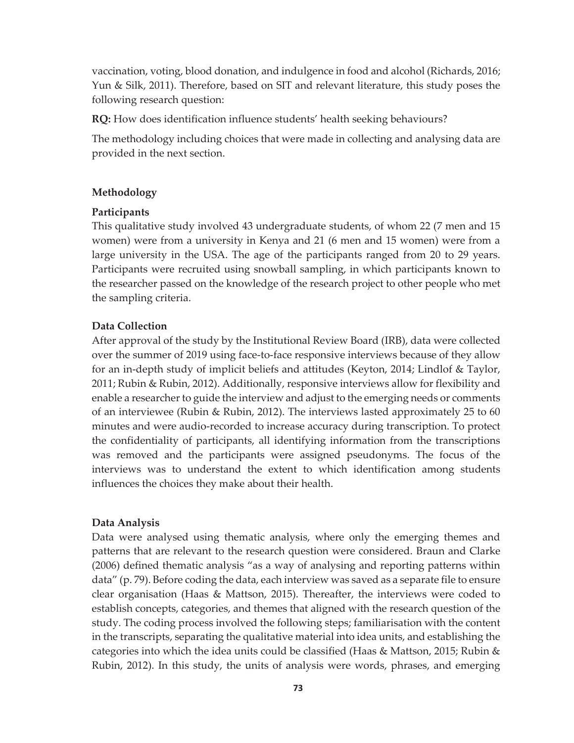vaccination, voting, blood donation, and indulgence in food and alcohol (Richards, 2016; Yun & Silk, 2011). Therefore, based on SIT and relevant literature, this study poses the following research question:

**RQ:** How does identification influence students' health seeking behaviours?

The methodology including choices that were made in collecting and analysing data are provided in the next section.

# **Methodology**

# **Participants**

This qualitative study involved 43 undergraduate students, of whom 22 (7 men and 15 women) were from a university in Kenya and 21 (6 men and 15 women) were from a large university in the USA. The age of the participants ranged from 20 to 29 years. Participants were recruited using snowball sampling, in which participants known to the researcher passed on the knowledge of the research project to other people who met the sampling criteria.

# **Data Collection**

After approval of the study by the Institutional Review Board (IRB), data were collected over the summer of 2019 using face-to-face responsive interviews because of they allow for an in-depth study of implicit beliefs and attitudes (Keyton, 2014; Lindlof & Taylor, 2011; Rubin & Rubin, 2012). Additionally, responsive interviews allow for flexibility and enable a researcher to guide the interview and adjust to the emerging needs or comments of an interviewee (Rubin & Rubin, 2012). The interviews lasted approximately 25 to 60 minutes and were audio-recorded to increase accuracy during transcription. To protect the confidentiality of participants, all identifying information from the transcriptions was removed and the participants were assigned pseudonyms. The focus of the interviews was to understand the extent to which identification among students influences the choices they make about their health.

# **Data Analysis**

Data were analysed using thematic analysis, where only the emerging themes and patterns that are relevant to the research question were considered. Braun and Clarke (2006) defined thematic analysis "as a way of analysing and reporting patterns within data" (p. 79). Before coding the data, each interview was saved as a separate file to ensure clear organisation (Haas & Mattson, 2015). Thereafter, the interviews were coded to establish concepts, categories, and themes that aligned with the research question of the study. The coding process involved the following steps; familiarisation with the content in the transcripts, separating the qualitative material into idea units, and establishing the categories into which the idea units could be classified (Haas & Mattson, 2015; Rubin & Rubin, 2012). In this study, the units of analysis were words, phrases, and emerging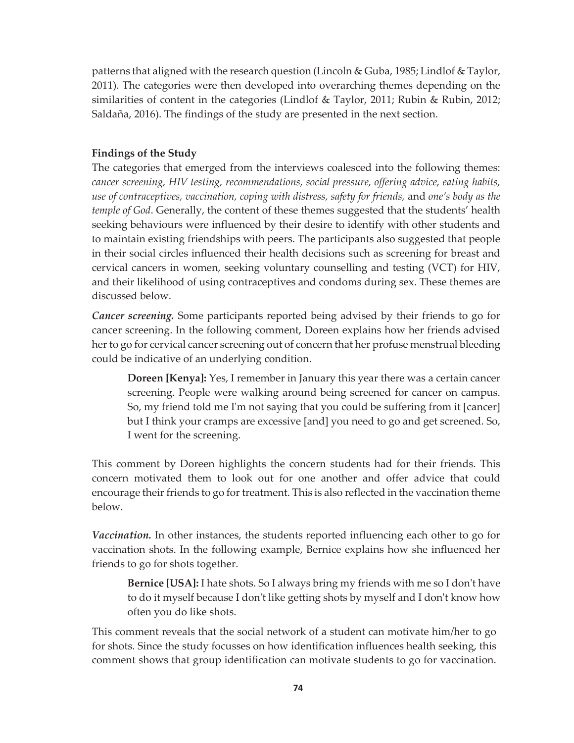patterns that aligned with the research question (Lincoln & Guba, 1985; Lindlof & Taylor, 2011). The categories were then developed into overarching themes depending on the similarities of content in the categories (Lindlof & Taylor, 2011; Rubin & Rubin, 2012; Saldaña, 2016). The findings of the study are presented in the next section.

# **Findings of the Study**

The categories that emerged from the interviews coalesced into the following themes: *cancer screening, HIV testing, recommendations, social pressure, offering advice, eating habits, use of contraceptives, vaccination, coping with distress, safety for friends,* and *one's body as the temple of God*. Generally, the content of these themes suggested that the students' health seeking behaviours were influenced by their desire to identify with other students and to maintain existing friendships with peers. The participants also suggested that people in their social circles influenced their health decisions such as screening for breast and cervical cancers in women, seeking voluntary counselling and testing (VCT) for HIV, and their likelihood of using contraceptives and condoms during sex. These themes are discussed below.

*Cancer screening.* Some participants reported being advised by their friends to go for cancer screening. In the following comment, Doreen explains how her friends advised her to go for cervical cancer screening out of concern that her profuse menstrual bleeding could be indicative of an underlying condition.

**Doreen [Kenya]:** Yes, I remember in January this year there was a certain cancer screening. People were walking around being screened for cancer on campus. So, my friend told me I'm not saying that you could be suffering from it [cancer] but I think your cramps are excessive [and] you need to go and get screened. So, I went for the screening.

This comment by Doreen highlights the concern students had for their friends. This concern motivated them to look out for one another and offer advice that could encourage their friends to go for treatment. This is also reflected in the vaccination theme below.

*Vaccination.* In other instances, the students reported influencing each other to go for vaccination shots. In the following example, Bernice explains how she influenced her friends to go for shots together.

**Bernice [USA]:** I hate shots. So I always bring my friends with me so I don't have to do it myself because I don't like getting shots by myself and I don't know how often you do like shots.

This comment reveals that the social network of a student can motivate him/her to go for shots. Since the study focusses on how identification influences health seeking, this comment shows that group identification can motivate students to go for vaccination.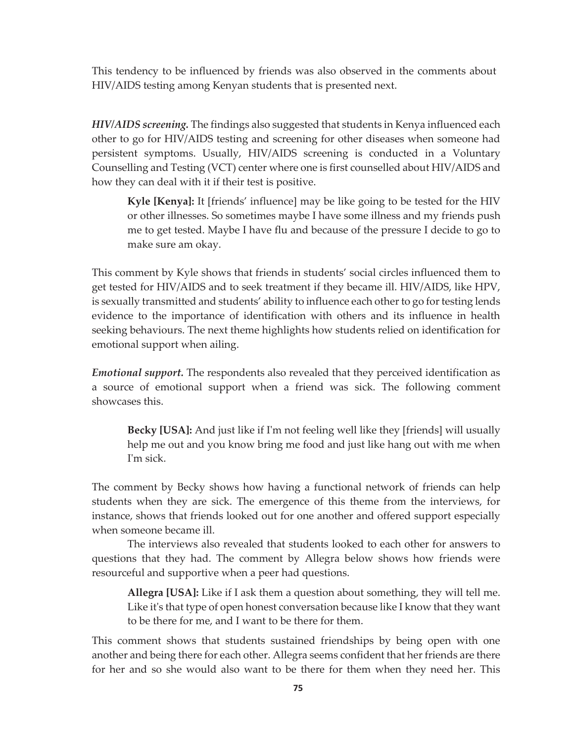This tendency to be influenced by friends was also observed in the comments about HIV/AIDS testing among Kenyan students that is presented next.

*HIV/AIDS screening.* The findings also suggested that students in Kenya influenced each other to go for HIV/AIDS testing and screening for other diseases when someone had persistent symptoms. Usually, HIV/AIDS screening is conducted in a Voluntary Counselling and Testing (VCT) center where one is first counselled about HIV/AIDS and how they can deal with it if their test is positive.

**Kyle [Kenya]:** It [friends' influence] may be like going to be tested for the HIV or other illnesses. So sometimes maybe I have some illness and my friends push me to get tested. Maybe I have flu and because of the pressure I decide to go to make sure am okay.

This comment by Kyle shows that friends in students' social circles influenced them to get tested for HIV/AIDS and to seek treatment if they became ill. HIV/AIDS, like HPV, is sexually transmitted and students' ability to influence each other to go for testing lends evidence to the importance of identification with others and its influence in health seeking behaviours. The next theme highlights how students relied on identification for emotional support when ailing.

*Emotional support.* The respondents also revealed that they perceived identification as a source of emotional support when a friend was sick. The following comment showcases this.

**Becky [USA]:** And just like if I'm not feeling well like they [friends] will usually help me out and you know bring me food and just like hang out with me when I'm sick.

The comment by Becky shows how having a functional network of friends can help students when they are sick. The emergence of this theme from the interviews, for instance, shows that friends looked out for one another and offered support especially when someone became ill.

The interviews also revealed that students looked to each other for answers to questions that they had. The comment by Allegra below shows how friends were resourceful and supportive when a peer had questions.

**Allegra [USA]:** Like if I ask them a question about something, they will tell me. Like it's that type of open honest conversation because like I know that they want to be there for me, and I want to be there for them.

This comment shows that students sustained friendships by being open with one another and being there for each other. Allegra seems confident that her friends are there for her and so she would also want to be there for them when they need her. This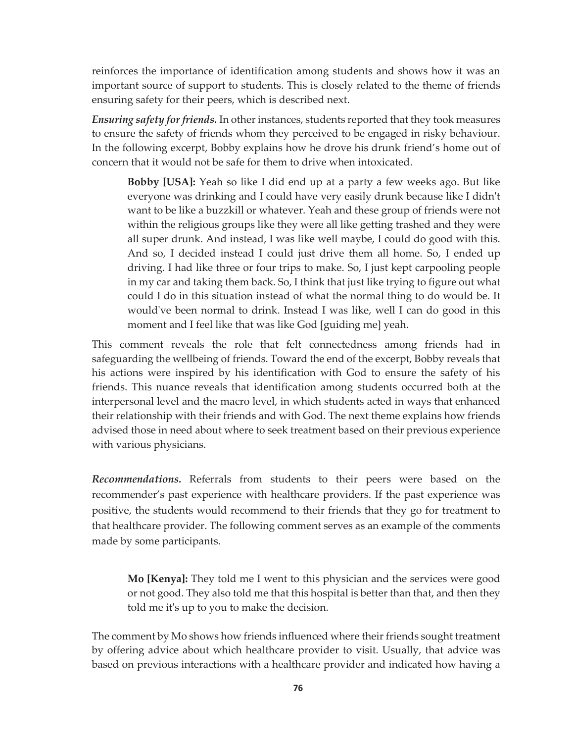reinforces the importance of identification among students and shows how it was an important source of support to students. This is closely related to the theme of friends ensuring safety for their peers, which is described next.

*Ensuring safety for friends.* In other instances, students reported that they took measures to ensure the safety of friends whom they perceived to be engaged in risky behaviour. In the following excerpt, Bobby explains how he drove his drunk friend's home out of concern that it would not be safe for them to drive when intoxicated.

**Bobby [USA]:** Yeah so like I did end up at a party a few weeks ago. But like everyone was drinking and I could have very easily drunk because like I didn't want to be like a buzzkill or whatever. Yeah and these group of friends were not within the religious groups like they were all like getting trashed and they were all super drunk. And instead, I was like well maybe, I could do good with this. And so, I decided instead I could just drive them all home. So, I ended up driving. I had like three or four trips to make. So, I just kept carpooling people in my car and taking them back. So, I think that just like trying to figure out what could I do in this situation instead of what the normal thing to do would be. It would've been normal to drink. Instead I was like, well I can do good in this moment and I feel like that was like God [guiding me] yeah.

This comment reveals the role that felt connectedness among friends had in safeguarding the wellbeing of friends. Toward the end of the excerpt, Bobby reveals that his actions were inspired by his identification with God to ensure the safety of his friends. This nuance reveals that identification among students occurred both at the interpersonal level and the macro level, in which students acted in ways that enhanced their relationship with their friends and with God. The next theme explains how friends advised those in need about where to seek treatment based on their previous experience with various physicians.

*Recommendations.* Referrals from students to their peers were based on the recommender's past experience with healthcare providers. If the past experience was positive, the students would recommend to their friends that they go for treatment to that healthcare provider. The following comment serves as an example of the comments made by some participants.

**Mo [Kenya]:** They told me I went to this physician and the services were good or not good. They also told me that this hospital is better than that, and then they told me it's up to you to make the decision.

The comment by Mo shows how friends influenced where their friends sought treatment by offering advice about which healthcare provider to visit. Usually, that advice was based on previous interactions with a healthcare provider and indicated how having a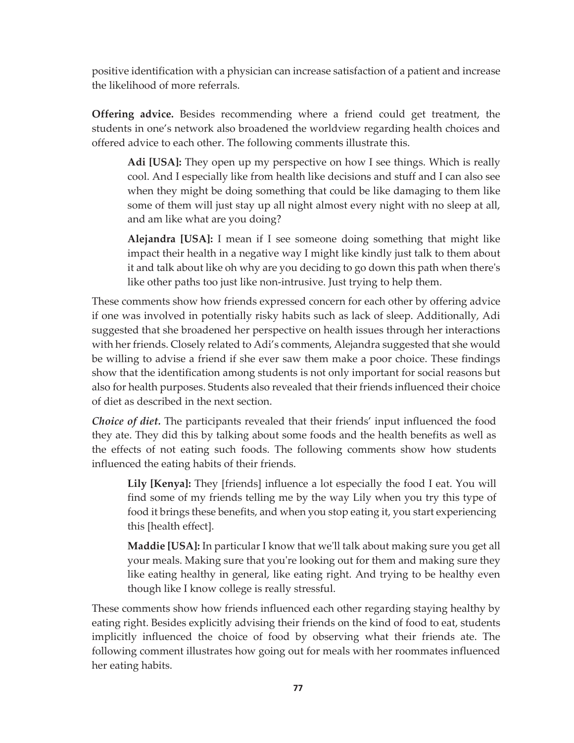positive identification with a physician can increase satisfaction of a patient and increase the likelihood of more referrals.

**Offering advice.** Besides recommending where a friend could get treatment, the students in one's network also broadened the worldview regarding health choices and offered advice to each other. The following comments illustrate this.

**Adi [USA]:** They open up my perspective on how I see things. Which is really cool. And I especially like from health like decisions and stuff and I can also see when they might be doing something that could be like damaging to them like some of them will just stay up all night almost every night with no sleep at all, and am like what are you doing?

**Alejandra [USA]:** I mean if I see someone doing something that might like impact their health in a negative way I might like kindly just talk to them about it and talk about like oh why are you deciding to go down this path when there's like other paths too just like non-intrusive. Just trying to help them.

These comments show how friends expressed concern for each other by offering advice if one was involved in potentially risky habits such as lack of sleep. Additionally, Adi suggested that she broadened her perspective on health issues through her interactions with her friends. Closely related to Adi's comments, Alejandra suggested that she would be willing to advise a friend if she ever saw them make a poor choice. These findings show that the identification among students is not only important for social reasons but also for health purposes. Students also revealed that their friends influenced their choice of diet as described in the next section.

*Choice of diet.* The participants revealed that their friends' input influenced the food they ate. They did this by talking about some foods and the health benefits as well as the effects of not eating such foods. The following comments show how students influenced the eating habits of their friends.

**Lily [Kenya]:** They [friends] influence a lot especially the food I eat. You will find some of my friends telling me by the way Lily when you try this type of food it brings these benefits, and when you stop eating it, you start experiencing this [health effect].

**Maddie [USA]:** In particular I know that we'll talk about making sure you get all your meals. Making sure that you're looking out for them and making sure they like eating healthy in general, like eating right. And trying to be healthy even though like I know college is really stressful.

These comments show how friends influenced each other regarding staying healthy by eating right. Besides explicitly advising their friends on the kind of food to eat, students implicitly influenced the choice of food by observing what their friends ate. The following comment illustrates how going out for meals with her roommates influenced her eating habits.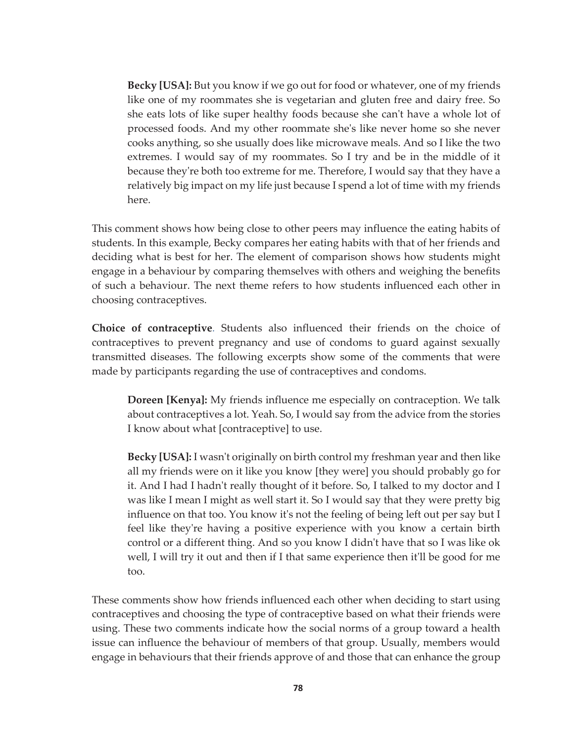**Becky [USA]:** But you know if we go out for food or whatever, one of my friends like one of my roommates she is vegetarian and gluten free and dairy free. So she eats lots of like super healthy foods because she can't have a whole lot of processed foods. And my other roommate she's like never home so she never cooks anything, so she usually does like microwave meals. And so I like the two extremes. I would say of my roommates. So I try and be in the middle of it because they're both too extreme for me. Therefore, I would say that they have a relatively big impact on my life just because I spend a lot of time with my friends here.

This comment shows how being close to other peers may influence the eating habits of students. In this example, Becky compares her eating habits with that of her friends and deciding what is best for her. The element of comparison shows how students might engage in a behaviour by comparing themselves with others and weighing the benefits of such a behaviour. The next theme refers to how students influenced each other in choosing contraceptives.

**Choice of contraceptive***.* Students also influenced their friends on the choice of contraceptives to prevent pregnancy and use of condoms to guard against sexually transmitted diseases. The following excerpts show some of the comments that were made by participants regarding the use of contraceptives and condoms.

**Doreen [Kenya]:** My friends influence me especially on contraception. We talk about contraceptives a lot. Yeah. So, I would say from the advice from the stories I know about what [contraceptive] to use.

**Becky [USA]:** I wasn't originally on birth control my freshman year and then like all my friends were on it like you know [they were] you should probably go for it. And I had I hadn't really thought of it before. So, I talked to my doctor and I was like I mean I might as well start it. So I would say that they were pretty big influence on that too. You know it's not the feeling of being left out per say but I feel like they're having a positive experience with you know a certain birth control or a different thing. And so you know I didn't have that so I was like ok well, I will try it out and then if I that same experience then it'll be good for me too.

These comments show how friends influenced each other when deciding to start using contraceptives and choosing the type of contraceptive based on what their friends were using. These two comments indicate how the social norms of a group toward a health issue can influence the behaviour of members of that group. Usually, members would engage in behaviours that their friends approve of and those that can enhance the group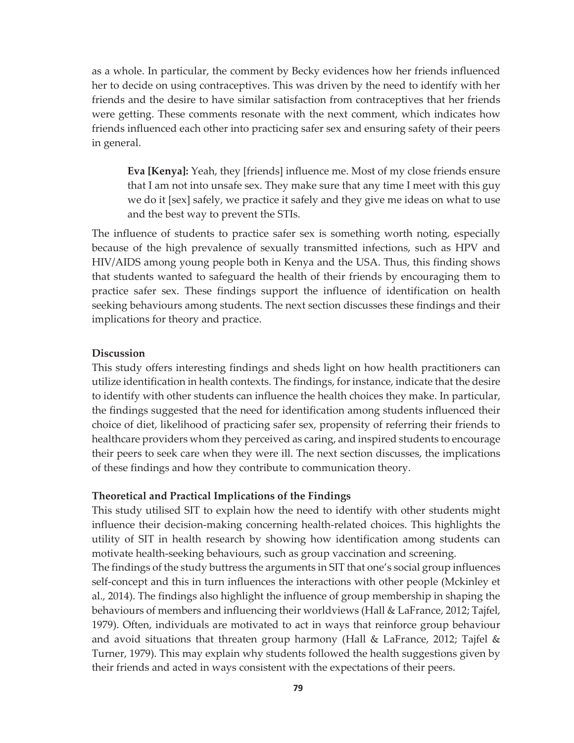as a whole. In particular, the comment by Becky evidences how her friends influenced her to decide on using contraceptives. This was driven by the need to identify with her friends and the desire to have similar satisfaction from contraceptives that her friends were getting. These comments resonate with the next comment, which indicates how friends influenced each other into practicing safer sex and ensuring safety of their peers in general.

**Eva [Kenya]:** Yeah, they [friends] influence me. Most of my close friends ensure that I am not into unsafe sex. They make sure that any time I meet with this guy we do it [sex] safely, we practice it safely and they give me ideas on what to use and the best way to prevent the STIs.

The influence of students to practice safer sex is something worth noting, especially because of the high prevalence of sexually transmitted infections, such as HPV and HIV/AIDS among young people both in Kenya and the USA. Thus, this finding shows that students wanted to safeguard the health of their friends by encouraging them to practice safer sex. These findings support the influence of identification on health seeking behaviours among students. The next section discusses these findings and their implications for theory and practice.

### **Discussion**

This study offers interesting findings and sheds light on how health practitioners can utilize identification in health contexts. The findings, for instance, indicate that the desire to identify with other students can influence the health choices they make. In particular, the findings suggested that the need for identification among students influenced their choice of diet, likelihood of practicing safer sex, propensity of referring their friends to healthcare providers whom they perceived as caring, and inspired students to encourage their peers to seek care when they were ill. The next section discusses, the implications of these findings and how they contribute to communication theory.

#### **Theoretical and Practical Implications of the Findings**

This study utilised SIT to explain how the need to identify with other students might influence their decision-making concerning health-related choices. This highlights the utility of SIT in health research by showing how identification among students can motivate health-seeking behaviours, such as group vaccination and screening.

The findings of the study buttress the arguments in SIT that one's social group influences self-concept and this in turn influences the interactions with other people (Mckinley et al., 2014). The findings also highlight the influence of group membership in shaping the behaviours of members and influencing their worldviews (Hall & LaFrance, 2012; Tajfel, 1979). Often, individuals are motivated to act in ways that reinforce group behaviour and avoid situations that threaten group harmony (Hall & LaFrance, 2012; Tajfel & Turner, 1979). This may explain why students followed the health suggestions given by their friends and acted in ways consistent with the expectations of their peers.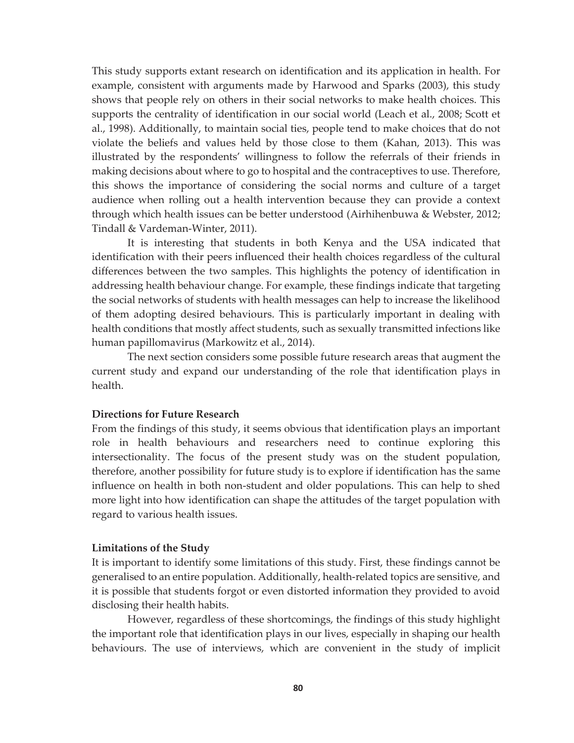This study supports extant research on identification and its application in health. For example, consistent with arguments made by Harwood and Sparks (2003), this study shows that people rely on others in their social networks to make health choices. This supports the centrality of identification in our social world (Leach et al., 2008; Scott et al., 1998). Additionally, to maintain social ties, people tend to make choices that do not violate the beliefs and values held by those close to them (Kahan, 2013). This was illustrated by the respondents' willingness to follow the referrals of their friends in making decisions about where to go to hospital and the contraceptives to use. Therefore, this shows the importance of considering the social norms and culture of a target audience when rolling out a health intervention because they can provide a context through which health issues can be better understood (Airhihenbuwa & Webster, 2012; Tindall & Vardeman-Winter, 2011).

It is interesting that students in both Kenya and the USA indicated that identification with their peers influenced their health choices regardless of the cultural differences between the two samples. This highlights the potency of identification in addressing health behaviour change. For example, these findings indicate that targeting the social networks of students with health messages can help to increase the likelihood of them adopting desired behaviours. This is particularly important in dealing with health conditions that mostly affect students, such as sexually transmitted infections like human papillomavirus (Markowitz et al., 2014).

The next section considers some possible future research areas that augment the current study and expand our understanding of the role that identification plays in health.

#### **Directions for Future Research**

From the findings of this study, it seems obvious that identification plays an important role in health behaviours and researchers need to continue exploring this intersectionality. The focus of the present study was on the student population, therefore, another possibility for future study is to explore if identification has the same influence on health in both non-student and older populations. This can help to shed more light into how identification can shape the attitudes of the target population with regard to various health issues.

#### **Limitations of the Study**

It is important to identify some limitations of this study. First, these findings cannot be generalised to an entire population. Additionally, health-related topics are sensitive, and it is possible that students forgot or even distorted information they provided to avoid disclosing their health habits.

However, regardless of these shortcomings, the findings of this study highlight the important role that identification plays in our lives, especially in shaping our health behaviours. The use of interviews, which are convenient in the study of implicit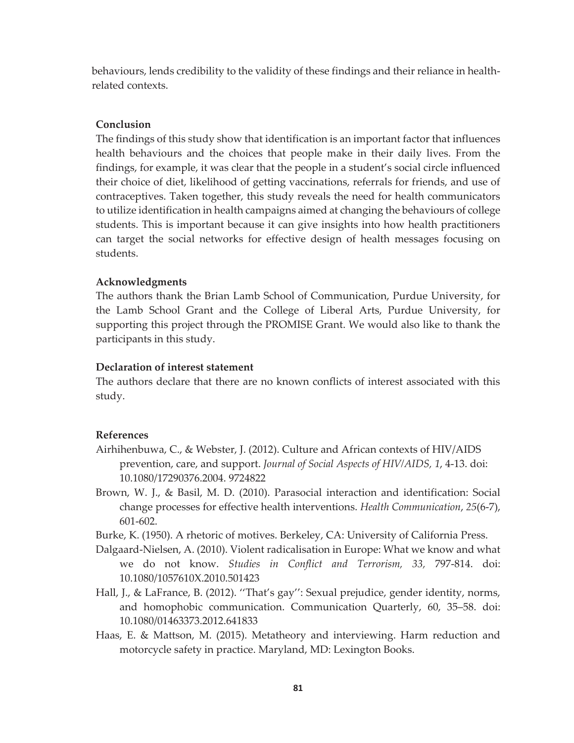behaviours, lends credibility to the validity of these findings and their reliance in healthrelated contexts.

### **Conclusion**

The findings of this study show that identification is an important factor that influences health behaviours and the choices that people make in their daily lives. From the findings, for example, it was clear that the people in a student's social circle influenced their choice of diet, likelihood of getting vaccinations, referrals for friends, and use of contraceptives. Taken together, this study reveals the need for health communicators to utilize identification in health campaigns aimed at changing the behaviours of college students. This is important because it can give insights into how health practitioners can target the social networks for effective design of health messages focusing on students.

### **Acknowledgments**

The authors thank the Brian Lamb School of Communication, Purdue University, for the Lamb School Grant and the College of Liberal Arts, Purdue University, for supporting this project through the PROMISE Grant. We would also like to thank the participants in this study.

### **Declaration of interest statement**

The authors declare that there are no known conflicts of interest associated with this study.

### **References**

- Airhihenbuwa, C., & Webster, J. (2012). Culture and African contexts of HIV/AIDS prevention, care, and support. *Journal of Social Aspects of HIV/AIDS, 1*, 4-13. doi: 10.1080/17290376.2004. 9724822
- Brown, W. J., & Basil, M. D. (2010). Parasocial interaction and identification: Social change processes for effective health interventions. *Health Communication*, *25*(6-7), 601-602.
- Burke, K. (1950). A rhetoric of motives. Berkeley, CA: University of California Press.
- Dalgaard-Nielsen, A. (2010). Violent radicalisation in Europe: What we know and what we do not know. *Studies in Conflict and Terrorism, 33,* 797-814. doi: 10.1080/1057610X.2010.501423
- Hall, J., & LaFrance, B. (2012). ''That's gay'': Sexual prejudice, gender identity, norms, and homophobic communication. Communication Quarterly, 60, 35–58. doi: 10.1080/01463373.2012.641833
- Haas, E. & Mattson, M. (2015). Metatheory and interviewing. Harm reduction and motorcycle safety in practice. Maryland, MD: Lexington Books.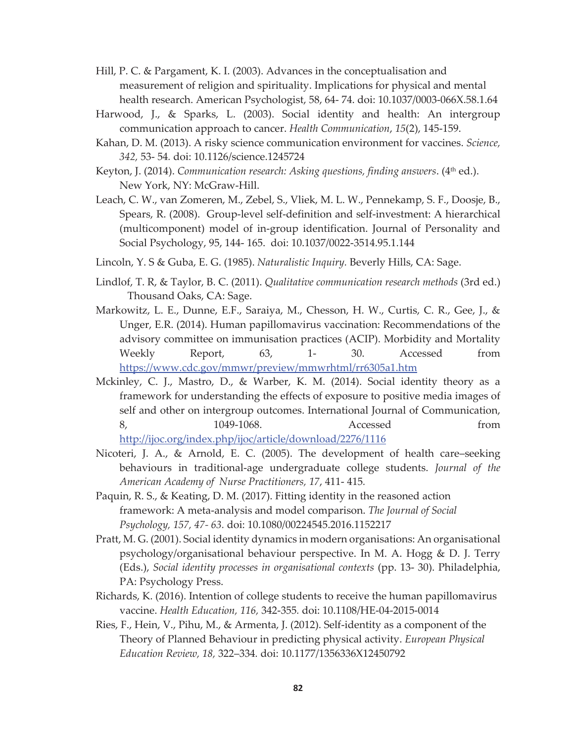- Hill, P. C. & Pargament, K. I. (2003). Advances in the conceptualisation and measurement of religion and spirituality. Implications for physical and mental health research. American Psychologist, 58, 64- 74. doi: 10.1037/0003-066X.58.1.64
- Harwood, J., & Sparks, L. (2003). Social identity and health: An intergroup communication approach to cancer. *Health Communication*, *15*(2), 145-159.
- Kahan, D. M. (2013). A risky science communication environment for vaccines. *Science, 342,* 53- 54*.* doi: 10.1126/science.1245724
- Keyton, J. (2014). *Communication research: Asking questions, finding answers.* (4<sup>th</sup> ed.). New York, NY: McGraw-Hill.
- Leach, C. W., van Zomeren, M., Zebel, S., Vliek, M. L. W., Pennekamp, S. F., Doosje, B., Spears, R. (2008). Group-level self-definition and self-investment: A hierarchical (multicomponent) model of in-group identification. Journal of Personality and Social Psychology, 95, 144- 165. doi: 10.1037/0022-3514.95.1.144
- Lincoln, Y. S & Guba, E. G. (1985). *Naturalistic Inquiry.* Beverly Hills, CA: Sage.
- Lindlof, T. R, & Taylor, B. C. (2011). *Qualitative communication research methods* (3rd ed.) Thousand Oaks, CA: Sage.
- Markowitz, L. E., Dunne, E.F., Saraiya, M., Chesson, H. W., Curtis, C. R., Gee, J., & Unger, E.R. (2014). Human papillomavirus vaccination: Recommendations of the advisory committee on immunisation practices (ACIP). Morbidity and Mortality Weekly Report, 63, 1- 30. Accessed from https://www.cdc.gov/mmwr/preview/mmwrhtml/rr6305a1.htm
- Mckinley, C. J., Mastro, D., & Warber, K. M. (2014). Social identity theory as a framework for understanding the effects of exposure to positive media images of self and other on intergroup outcomes. International Journal of Communication, 8, 1049-1068. Accessed from http://ijoc.org/index.php/ijoc/article/download/2276/1116
- Nicoteri, J. A., & Arnold, E. C. (2005). The development of health care–seeking behaviours in traditional-age undergraduate college students. *Journal of the American Academy of Nurse Practitioners, 17*, 411- 415*.*
- Paquin, R. S., & Keating, D. M. (2017). Fitting identity in the reasoned action framework: A meta-analysis and model comparison. *The Journal of Social Psychology, 157, 47- 63.* doi: 10.1080/00224545.2016.1152217
- Pratt, M. G. (2001). Social identity dynamics in modern organisations: An organisational psychology/organisational behaviour perspective. In M. A. Hogg & D. J. Terry (Eds.), *Social identity processes in organisational contexts* (pp. 13- 30). Philadelphia, PA: Psychology Press.
- Richards, K. (2016). Intention of college students to receive the human papillomavirus vaccine. *Health Education, 116,* 342-355*.* doi: 10.1108/HE-04-2015-0014
- Ries, F., Hein, V., Pihu, M., & Armenta, J. (2012). Self-identity as a component of the Theory of Planned Behaviour in predicting physical activity. *European Physical Education Review, 18,* 322–334*.* doi: 10.1177/1356336X12450792